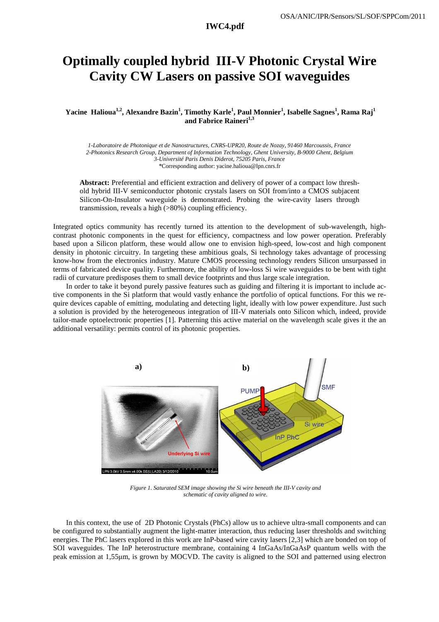## **Optimally coupled hybrid III-V Photonic Crystal Wire Cavity CW Lasers on passive SOI waveguides**

 **Yacine Halioua1,2, Alexandre Bazin<sup>1</sup> , Timothy Karle<sup>1</sup> , Paul Monnier<sup>1</sup> , Isabelle Sagnes<sup>1</sup> , Rama Raj<sup>1</sup> and Fabrice Raineri1,3**

*1-Laboratoire de Photonique et de Nanostructures, CNRS-UPR20, Route de Nozay, 91460 Marcoussis, France 2-Photonics Research Group, Department of Information Technology, Ghent University, B-9000 Ghent, Belgium 3-Université Paris Denis Diderot, 75205 Paris, France \**Corresponding author: yacine.halioua@lpn.cnrs.fr

**Abstract:** Preferential and efficient extraction and delivery of power of a compact low threshold hybrid III-V semiconductor photonic crystals lasers on SOI from/into a CMOS subjacent Silicon-On-Insulator waveguide is demonstrated. Probing the wire-cavity lasers through transmission, reveals a high (>80%) coupling efficiency.

Integrated optics community has recently turned its attention to the development of sub-wavelength, highcontrast photonic components in the quest for efficiency, compactness and low power operation. Preferably based upon a Silicon platform, these would allow one to envision high-speed, low-cost and high component density in photonic circuitry. In targeting these ambitious goals, Si technology takes advantage of processing know-how from the electronics industry. Mature CMOS processing technology renders Silicon unsurpassed in terms of fabricated device quality. Furthermore, the ability of low-loss Si wire waveguides to be bent with tight radii of curvature predisposes them to small device footprints and thus large scale integration.

In order to take it beyond purely passive features such as guiding and filtering it is important to include active components in the Si platform that would vastly enhance the portfolio of optical functions. For this we require devices capable of emitting, modulating and detecting light, ideally with low power expenditure. Just such a solution is provided by the heterogeneous integration of III-V materials onto Silicon which, indeed, provide tailor-made optoelectronic properties [1]. Patterning this active material on the wavelength scale gives it the an additional versatility: permits control of its photonic properties.



*Figure 1. Saturated SEM image showing the Si wire beneath the III-V cavity and schematic of cavity aligned to wire.* 

In this context, the use of 2D Photonic Crystals (PhCs) allow us to achieve ultra-small components and can be configured to substantially augment the light-matter interaction, thus reducing laser thresholds and switching energies. The PhC lasers explored in this work are InP-based wire cavity lasers [2,3] which are bonded on top of SOI waveguides. The InP heterostructure membrane, containing 4 InGaAs/InGaAsP quantum wells with the peak emission at 1,55µm, is grown by MOCVD. The cavity is aligned to the SOI and patterned using electron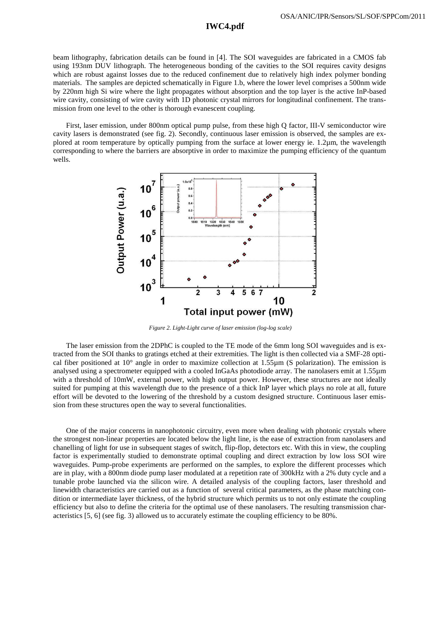## **IWC4.pdf**

beam lithography, fabrication details can be found in [4]. The SOI waveguides are fabricated in a CMOS fab using 193nm DUV lithograph. The heterogeneous bonding of the cavities to the SOI requires cavity designs which are robust against losses due to the reduced confinement due to relatively high index polymer bonding materials. The samples are depicted schematically in Figure 1.b, where the lower level comprises a 500nm wide by 220nm high Si wire where the light propagates without absorption and the top layer is the active InP-based wire cavity, consisting of wire cavity with 1D photonic crystal mirrors for longitudinal confinement. The transmission from one level to the other is thorough evanescent coupling.

First, laser emission, under 800nm optical pump pulse, from these high Q factor, III-V semiconductor wire cavity lasers is demonstrated (see fig. 2). Secondly, continuous laser emission is observed, the samples are explored at room temperature by optically pumping from the surface at lower energy ie. 1.2µm, the wavelength corresponding to where the barriers are absorptive in order to maximize the pumping efficiency of the quantum wells.



*Figure 2. Light-Light curve of laser emission (log-log scale)* 

The laser emission from the 2DPhC is coupled to the TE mode of the 6mm long SOI waveguides and is extracted from the SOI thanks to gratings etched at their extremities. The light is then collected via a SMF-28 optical fiber positioned at  $10^{\circ}$  angle in order to maximize collection at 1.55µm (S polarization). The emission is analysed using a spectrometer equipped with a cooled InGaAs photodiode array. The nanolasers emit at 1.55µm with a threshold of 10mW, external power, with high output power. However, these structures are not ideally suited for pumping at this wavelength due to the presence of a thick InP layer which plays no role at all, future effort will be devoted to the lowering of the threshold by a custom designed structure. Continuous laser emission from these structures open the way to several functionalities.

One of the major concerns in nanophotonic circuitry, even more when dealing with photonic crystals where the strongest non-linear properties are located below the light line, is the ease of extraction from nanolasers and chanelling of light for use in subsequent stages of switch, flip-flop, detectors etc. With this in view, the coupling factor is experimentally studied to demonstrate optimal coupling and direct extraction by low loss SOI wire waveguides. Pump-probe experiments are performed on the samples, to explore the different processes which are in play, with a 800nm diode pump laser modulated at a repetition rate of 300kHz with a 2% duty cycle and a tunable probe launched via the silicon wire. A detailed analysis of the coupling factors, laser threshold and linewidth characteristics are carried out as a function of several critical parameters, as the phase matching condition or intermediate layer thickness, of the hybrid structure which permits us to not only estimate the coupling efficiency but also to define the criteria for the optimal use of these nanolasers. The resulting transmission characteristics [5, 6] (see fig. 3) allowed us to accurately estimate the coupling efficiency to be 80%.